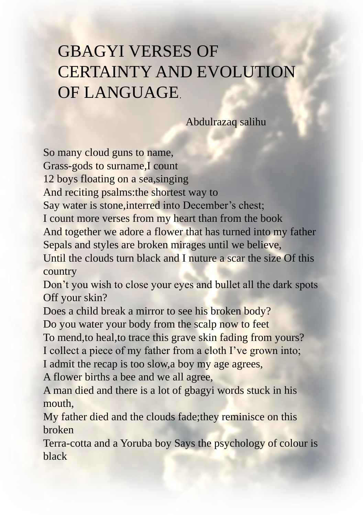## GBAGYI VERSES OF CERTAINTY AND EVOLUTION OF LANGUAGE.

Abdulrazaq salihu

So many cloud guns to name,

Grass-gods to surname,I count

12 boys floating on a sea,singing

And reciting psalms:the shortest way to

Say water is stone,interred into December's chest;

I count more verses from my heart than from the book

And together we adore a flower that has turned into my father Sepals and styles are broken mirages until we believe,

Until the clouds turn black and I nuture a scar the size Of this country

Don't you wish to close your eyes and bullet all the dark spots Off your skin?

Does a child break a mirror to see his broken body?

Do you water your body from the scalp now to feet

To mend,to heal,to trace this grave skin fading from yours?

I collect a piece of my father from a cloth I've grown into;

I admit the recap is too slow,a boy my age agrees,

A flower births a bee and we all agree,

A man died and there is a lot of gbagyi words stuck in his mouth,

My father died and the clouds fade;they reminisce on this broken

Terra-cotta and a Yoruba boy Says the psychology of colour is black